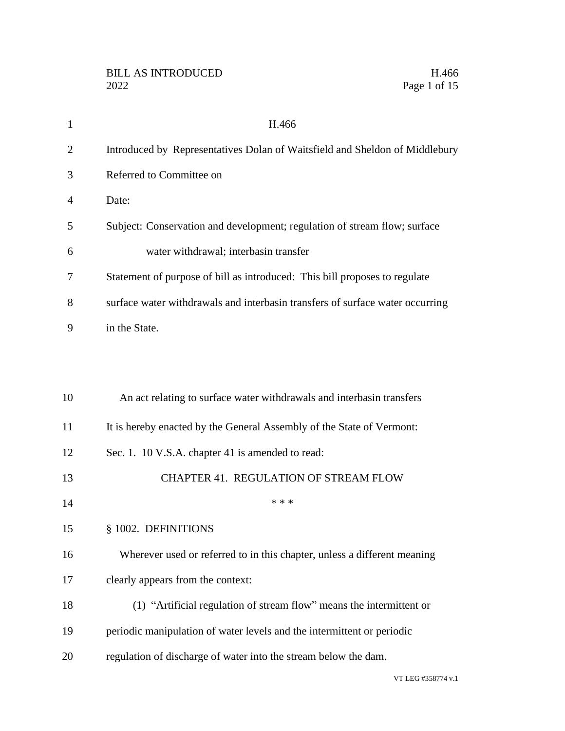| 1              | H.466                                                                         |
|----------------|-------------------------------------------------------------------------------|
| $\overline{2}$ | Introduced by Representatives Dolan of Waitsfield and Sheldon of Middlebury   |
| 3              | Referred to Committee on                                                      |
| 4              | Date:                                                                         |
| 5              | Subject: Conservation and development; regulation of stream flow; surface     |
| 6              | water withdrawal; interbasin transfer                                         |
| 7              | Statement of purpose of bill as introduced: This bill proposes to regulate    |
| 8              | surface water withdrawals and interbasin transfers of surface water occurring |
| 9              | in the State.                                                                 |
|                |                                                                               |
| 10             | An act relating to surface water withdrawals and interbasin transfers         |
| 11             | It is hereby enacted by the General Assembly of the State of Vermont:         |
| 12             | Sec. 1. 10 V.S.A. chapter 41 is amended to read:                              |
| 13             | <b>CHAPTER 41. REGULATION OF STREAM FLOW</b>                                  |
| 14             | * * *                                                                         |
| 15             | § 1002. DEFINITIONS                                                           |
| 16             | Wherever used or referred to in this chapter, unless a different meaning      |
| 17             | clearly appears from the context:                                             |
| 18             | (1) "Artificial regulation of stream flow" means the intermittent or          |
| 19             | periodic manipulation of water levels and the intermittent or periodic        |
| 20             | regulation of discharge of water into the stream below the dam.               |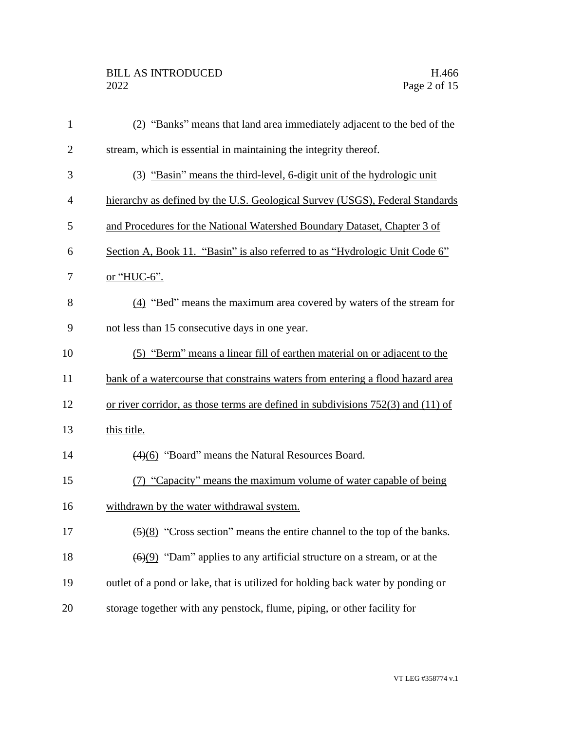| $\mathbf{1}$   | (2) "Banks" means that land area immediately adjacent to the bed of the                      |
|----------------|----------------------------------------------------------------------------------------------|
| $\overline{2}$ | stream, which is essential in maintaining the integrity thereof.                             |
| 3              | (3) "Basin" means the third-level, 6-digit unit of the hydrologic unit                       |
| 4              | hierarchy as defined by the U.S. Geological Survey (USGS), Federal Standards                 |
| 5              | and Procedures for the National Watershed Boundary Dataset, Chapter 3 of                     |
| 6              | Section A, Book 11. "Basin" is also referred to as "Hydrologic Unit Code 6"                  |
| 7              | or "HUC-6".                                                                                  |
| 8              | (4) "Bed" means the maximum area covered by waters of the stream for                         |
| 9              | not less than 15 consecutive days in one year.                                               |
| 10             | (5) "Berm" means a linear fill of earthen material on or adjacent to the                     |
| 11             | bank of a watercourse that constrains waters from entering a flood hazard area               |
| 12             | or river corridor, as those terms are defined in subdivisions $752(3)$ and $(11)$ of         |
| 13             | this title.                                                                                  |
| 14             | $\left(\frac{4}{6}\right)$ "Board" means the Natural Resources Board.                        |
| 15             | (7) "Capacity" means the maximum volume of water capable of being                            |
| 16             | withdrawn by the water withdrawal system.                                                    |
| 17             | $\left(\frac{5}{8}\right)$ "Cross section" means the entire channel to the top of the banks. |
| 18             | $(6)(9)$ "Dam" applies to any artificial structure on a stream, or at the                    |
| 19             | outlet of a pond or lake, that is utilized for holding back water by ponding or              |
| 20             | storage together with any penstock, flume, piping, or other facility for                     |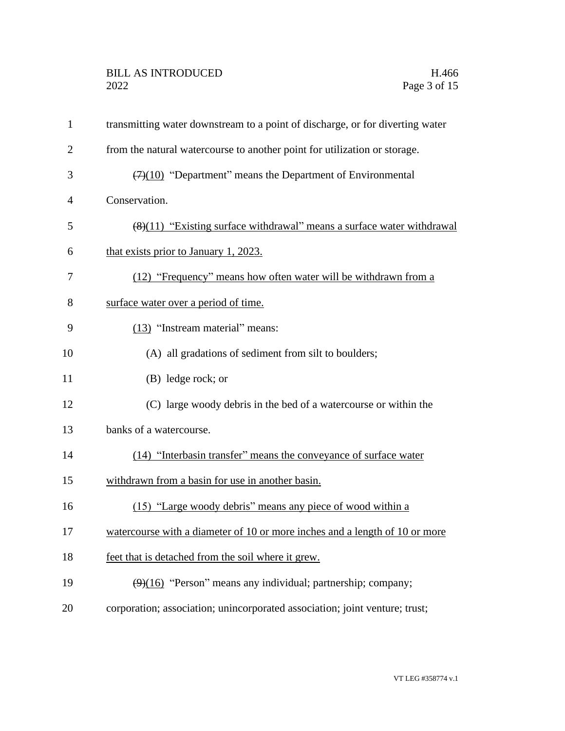# BILL AS INTRODUCED H.466<br>2022 Page 3 of 15

| $\mathbf{1}$   | transmitting water downstream to a point of discharge, or for diverting water |
|----------------|-------------------------------------------------------------------------------|
| $\overline{2}$ | from the natural watercourse to another point for utilization or storage.     |
| 3              | $(7)(10)$ "Department" means the Department of Environmental                  |
| 4              | Conservation.                                                                 |
| 5              | $(8)(11)$ "Existing surface withdrawal" means a surface water withdrawal      |
| 6              | that exists prior to January 1, 2023.                                         |
| 7              | (12) "Frequency" means how often water will be withdrawn from a               |
| 8              | surface water over a period of time.                                          |
| 9              | (13) "Instream material" means:                                               |
| 10             | (A) all gradations of sediment from silt to boulders;                         |
| 11             | (B) ledge rock; or                                                            |
| 12             | (C) large woody debris in the bed of a watercourse or within the              |
| 13             | banks of a watercourse.                                                       |
| 14             | (14) "Interbasin transfer" means the conveyance of surface water              |
| 15             | withdrawn from a basin for use in another basin.                              |
| 16             | (15) "Large woody debris" means any piece of wood within a                    |
| 17             | watercourse with a diameter of 10 or more inches and a length of 10 or more   |
| 18             | feet that is detached from the soil where it grew.                            |
| 19             | (9)(16) "Person" means any individual; partnership; company;                  |
| 20             | corporation; association; unincorporated association; joint venture; trust;   |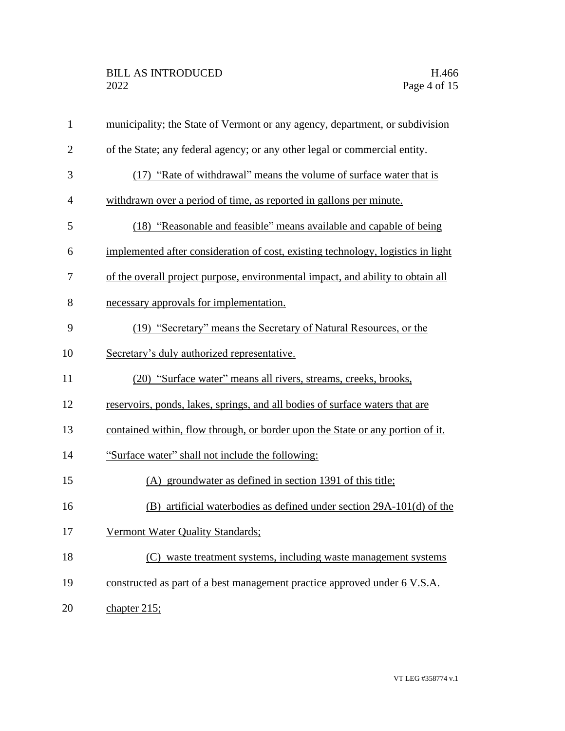| $\mathbf{1}$   | municipality; the State of Vermont or any agency, department, or subdivision     |
|----------------|----------------------------------------------------------------------------------|
| $\mathbf{2}$   | of the State; any federal agency; or any other legal or commercial entity.       |
| 3              | (17) "Rate of withdrawal" means the volume of surface water that is              |
| $\overline{4}$ | withdrawn over a period of time, as reported in gallons per minute.              |
| 5              | (18) "Reasonable and feasible" means available and capable of being              |
| 6              | implemented after consideration of cost, existing technology, logistics in light |
| 7              | of the overall project purpose, environmental impact, and ability to obtain all  |
| 8              | necessary approvals for implementation.                                          |
| 9              | (19) "Secretary" means the Secretary of Natural Resources, or the                |
| 10             | Secretary's duly authorized representative.                                      |
| 11             | (20) "Surface water" means all rivers, streams, creeks, brooks,                  |
| 12             | reservoirs, ponds, lakes, springs, and all bodies of surface waters that are     |
| 13             | contained within, flow through, or border upon the State or any portion of it.   |
| 14             | "Surface water" shall not include the following:                                 |
| 15             | (A) groundwater as defined in section 1391 of this title;                        |
| 16             | $(B)$ artificial waterbodies as defined under section 29A-101(d) of the          |
| 17             | Vermont Water Quality Standards;                                                 |
| 18             | (C) waste treatment systems, including waste management systems                  |
| 19             | constructed as part of a best management practice approved under 6 V.S.A.        |
| 20             | chapter $215$ ;                                                                  |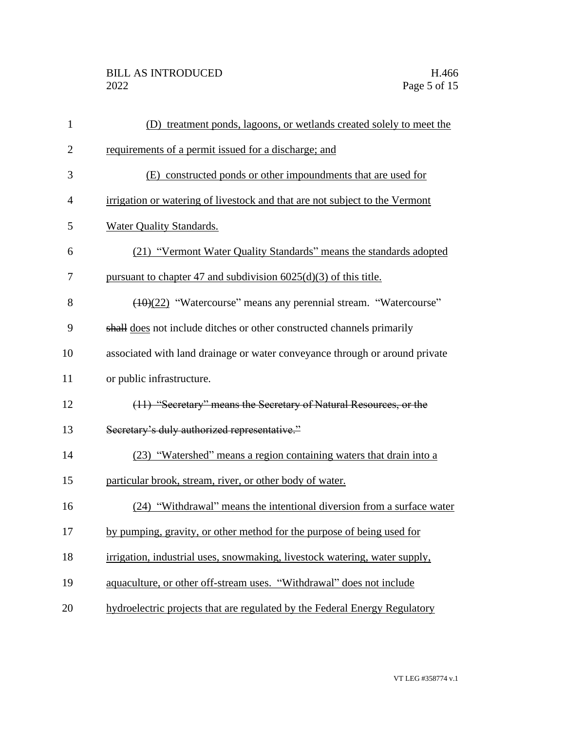| $\mathbf{1}$   | (D) treatment ponds, lagoons, or wetlands created solely to meet the        |
|----------------|-----------------------------------------------------------------------------|
| $\overline{2}$ | requirements of a permit issued for a discharge; and                        |
| 3              | (E) constructed ponds or other impoundments that are used for               |
| $\overline{4}$ | irrigation or watering of livestock and that are not subject to the Vermont |
| 5              | Water Quality Standards.                                                    |
| 6              | (21) "Vermont Water Quality Standards" means the standards adopted          |
| 7              | pursuant to chapter 47 and subdivision $6025(d)(3)$ of this title.          |
| 8              | (10)(22) "Watercourse" means any perennial stream. "Watercourse"            |
| 9              | shall does not include ditches or other constructed channels primarily      |
| 10             | associated with land drainage or water conveyance through or around private |
| 11             | or public infrastructure.                                                   |
| 12             | (11) "Secretary" means the Secretary of Natural Resources, or the           |
| 13             | Secretary's duly authorized representative."                                |
| 14             | (23) "Watershed" means a region containing waters that drain into a         |
| 15             | particular brook, stream, river, or other body of water.                    |
| 16             | (24) "Withdrawal" means the intentional diversion from a surface water      |
| 17             | by pumping, gravity, or other method for the purpose of being used for      |
| 18             | irrigation, industrial uses, snowmaking, livestock watering, water supply,  |
| 19             | aquaculture, or other off-stream uses. "Withdrawal" does not include        |
| 20             | hydroelectric projects that are regulated by the Federal Energy Regulatory  |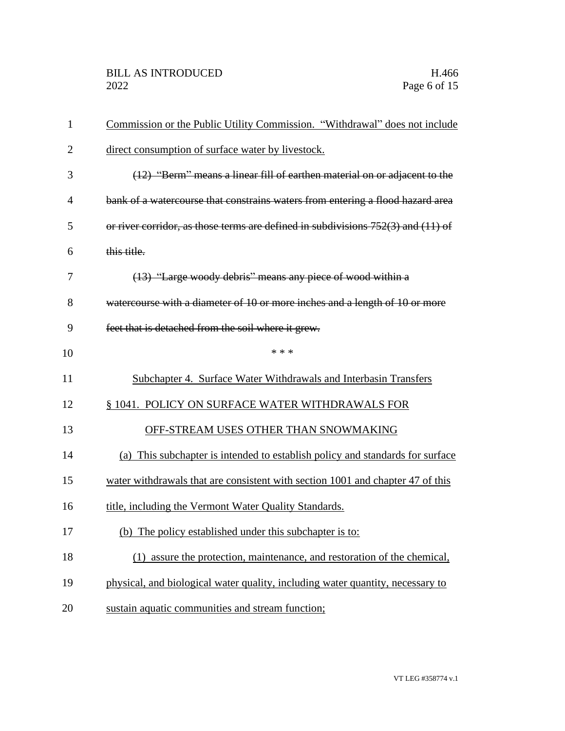| 1              | Commission or the Public Utility Commission. "Withdrawal" does not include           |
|----------------|--------------------------------------------------------------------------------------|
| $\overline{2}$ | direct consumption of surface water by livestock.                                    |
| 3              | (12) "Berm" means a linear fill of earthen material on or adjacent to the            |
| 4              | bank of a watercourse that constrains waters from entering a flood hazard area       |
| 5              | or river corridor, as those terms are defined in subdivisions $752(3)$ and $(11)$ of |
| 6              | this title.                                                                          |
| 7              | (13) "Large woody debris" means any piece of wood within a                           |
| 8              | watercourse with a diameter of 10 or more inches and a length of 10 or more          |
| 9              | feet that is detached from the soil where it grew.                                   |
| 10             | * * *                                                                                |
| 11             | Subchapter 4. Surface Water Withdrawals and Interbasin Transfers                     |
| 12             | § 1041. POLICY ON SURFACE WATER WITHDRAWALS FOR                                      |
| 13             | OFF-STREAM USES OTHER THAN SNOWMAKING                                                |
| 14             | (a) This subchapter is intended to establish policy and standards for surface        |
| 15             | water withdrawals that are consistent with section 1001 and chapter 47 of this       |
| 16             | title, including the Vermont Water Quality Standards.                                |
| 17             | (b) The policy established under this subchapter is to:                              |
| 18             | (1) assure the protection, maintenance, and restoration of the chemical,             |
| 19             | physical, and biological water quality, including water quantity, necessary to       |
| 20             | sustain aquatic communities and stream function;                                     |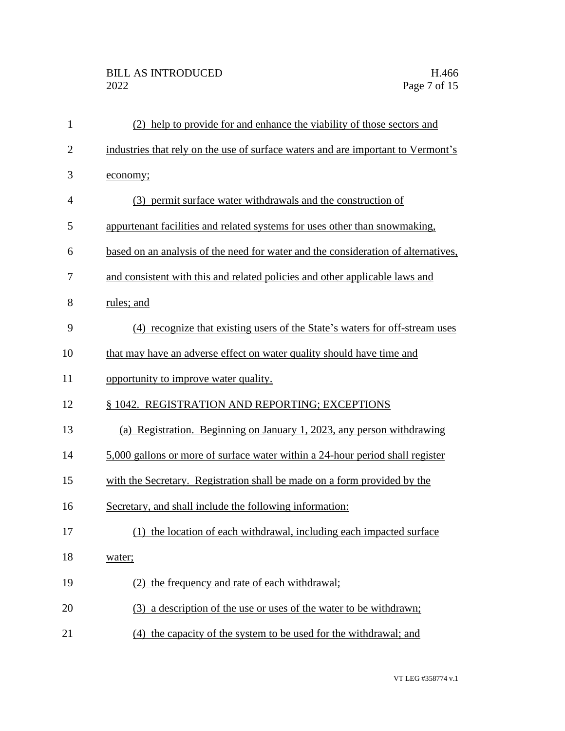# BILL AS INTRODUCED H.466<br>2022 Page 7 of 15

| $\mathbf{1}$   | (2) help to provide for and enhance the viability of those sectors and            |
|----------------|-----------------------------------------------------------------------------------|
| $\overline{2}$ | industries that rely on the use of surface waters and are important to Vermont's  |
| 3              | economy;                                                                          |
| $\overline{4}$ | (3) permit surface water withdrawals and the construction of                      |
| 5              | appurtenant facilities and related systems for uses other than snowmaking,        |
| 6              | based on an analysis of the need for water and the consideration of alternatives, |
| 7              | and consistent with this and related policies and other applicable laws and       |
| 8              | rules; and                                                                        |
| 9              | (4) recognize that existing users of the State's waters for off-stream uses       |
| 10             | that may have an adverse effect on water quality should have time and             |
| 11             | opportunity to improve water quality.                                             |
| 12             | § 1042. REGISTRATION AND REPORTING; EXCEPTIONS                                    |
| 13             | (a) Registration. Beginning on January 1, 2023, any person withdrawing            |
| 14             | 5,000 gallons or more of surface water within a 24-hour period shall register     |
| 15             | with the Secretary. Registration shall be made on a form provided by the          |
| 16             | Secretary, and shall include the following information:                           |
| 17             | (1) the location of each withdrawal, including each impacted surface              |
| 18             | water;                                                                            |
| 19             | the frequency and rate of each withdrawal;                                        |
| 20             | (3) a description of the use or uses of the water to be withdrawn;                |
| 21             | (4) the capacity of the system to be used for the withdrawal; and                 |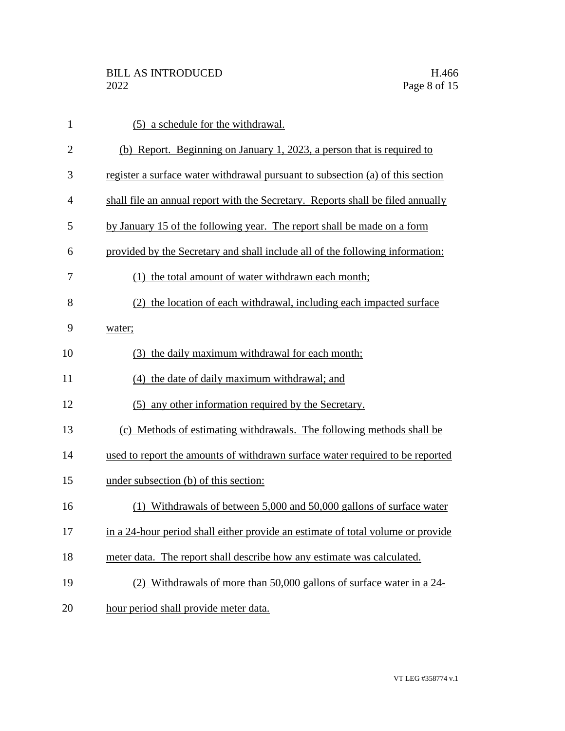| $\mathbf{1}$   | (5) a schedule for the withdrawal.                                              |
|----------------|---------------------------------------------------------------------------------|
| $\overline{2}$ | (b) Report. Beginning on January 1, 2023, a person that is required to          |
| 3              | register a surface water withdrawal pursuant to subsection (a) of this section  |
| $\overline{4}$ | shall file an annual report with the Secretary. Reports shall be filed annually |
| 5              | by January 15 of the following year. The report shall be made on a form         |
| 6              | provided by the Secretary and shall include all of the following information:   |
| 7              | (1) the total amount of water withdrawn each month;                             |
| 8              | the location of each withdrawal, including each impacted surface                |
| 9              | water;                                                                          |
| 10             | (3) the daily maximum withdrawal for each month;                                |
| 11             | (4) the date of daily maximum withdrawal; and                                   |
| 12             | (5) any other information required by the Secretary.                            |
| 13             | (c) Methods of estimating withdrawals. The following methods shall be           |
| 14             | used to report the amounts of withdrawn surface water required to be reported   |
| 15             | under subsection (b) of this section:                                           |
| 16             | Withdrawals of between 5,000 and 50,000 gallons of surface water                |
| 17             | in a 24-hour period shall either provide an estimate of total volume or provide |
| 18             | meter data. The report shall describe how any estimate was calculated.          |
| 19             | (2) Withdrawals of more than 50,000 gallons of surface water in a 24-           |
| 20             | hour period shall provide meter data.                                           |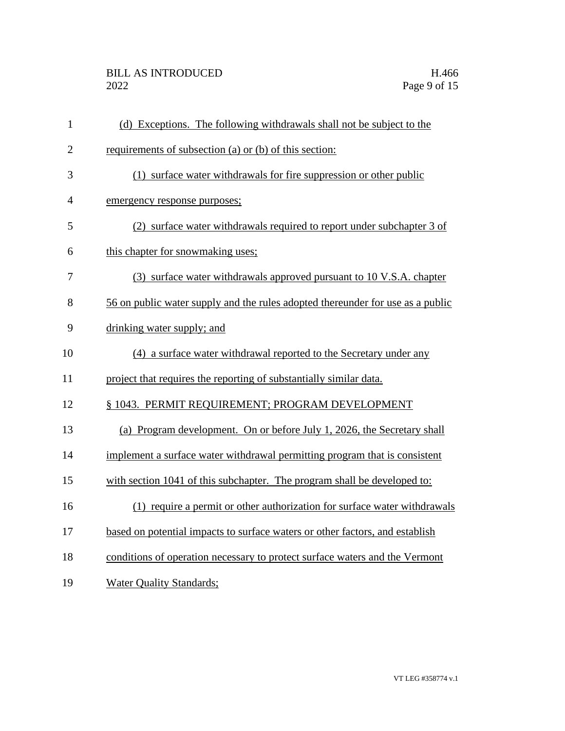# BILL AS INTRODUCED H.466<br>2022 Page 9 of 15

| $\mathbf{1}$   | (d) Exceptions. The following withdrawals shall not be subject to the          |
|----------------|--------------------------------------------------------------------------------|
| $\overline{2}$ | requirements of subsection (a) or (b) of this section:                         |
| 3              | (1) surface water withdrawals for fire suppression or other public             |
| 4              | emergency response purposes;                                                   |
| 5              | (2) surface water withdrawals required to report under subchapter 3 of         |
| 6              | this chapter for snowmaking uses;                                              |
| 7              | (3) surface water withdrawals approved pursuant to 10 V.S.A. chapter           |
| 8              | 56 on public water supply and the rules adopted thereunder for use as a public |
| 9              | drinking water supply; and                                                     |
| 10             | (4) a surface water withdrawal reported to the Secretary under any             |
| 11             | project that requires the reporting of substantially similar data.             |
| 12             | § 1043. PERMIT REQUIREMENT; PROGRAM DEVELOPMENT                                |
| 13             | (a) Program development. On or before July 1, 2026, the Secretary shall        |
| 14             | implement a surface water withdrawal permitting program that is consistent     |
| 15             | with section 1041 of this subchapter. The program shall be developed to:       |
| 16             | (1) require a permit or other authorization for surface water withdrawals      |
| 17             | based on potential impacts to surface waters or other factors, and establish   |
| 18             | conditions of operation necessary to protect surface waters and the Vermont    |
| 19             | <b>Water Quality Standards;</b>                                                |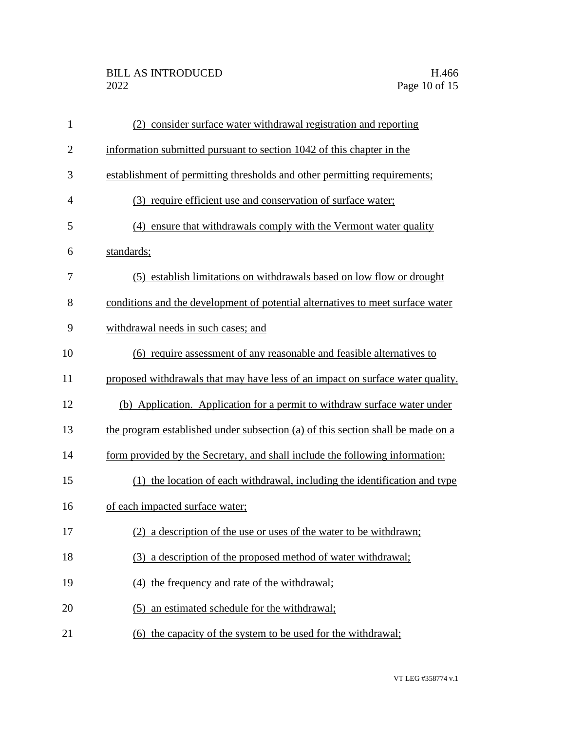# BILL AS INTRODUCED H.466<br>2022 Page 10 of 15

| $\mathbf{1}$   | (2) consider surface water withdrawal registration and reporting                |
|----------------|---------------------------------------------------------------------------------|
| $\overline{2}$ | information submitted pursuant to section 1042 of this chapter in the           |
| 3              | establishment of permitting thresholds and other permitting requirements;       |
| 4              | (3) require efficient use and conservation of surface water;                    |
| 5              | ensure that withdrawals comply with the Vermont water quality<br>(4)            |
| 6              | standards;                                                                      |
| 7              | (5) establish limitations on withdrawals based on low flow or drought           |
| 8              | conditions and the development of potential alternatives to meet surface water  |
| 9              | withdrawal needs in such cases; and                                             |
| 10             | (6) require assessment of any reasonable and feasible alternatives to           |
| 11             | proposed withdrawals that may have less of an impact on surface water quality.  |
| 12             | (b) Application. Application for a permit to withdraw surface water under       |
| 13             | the program established under subsection (a) of this section shall be made on a |
| 14             | form provided by the Secretary, and shall include the following information:    |
| 15             | (1) the location of each withdrawal, including the identification and type      |
| 16             | of each impacted surface water;                                                 |
| 17             | (2) a description of the use or uses of the water to be withdrawn;              |
| 18             | (3) a description of the proposed method of water withdrawal;                   |
| 19             | the frequency and rate of the withdrawal;<br>(4)                                |
| 20             | an estimated schedule for the withdrawal;<br>(5)                                |
| 21             | (6) the capacity of the system to be used for the withdrawal;                   |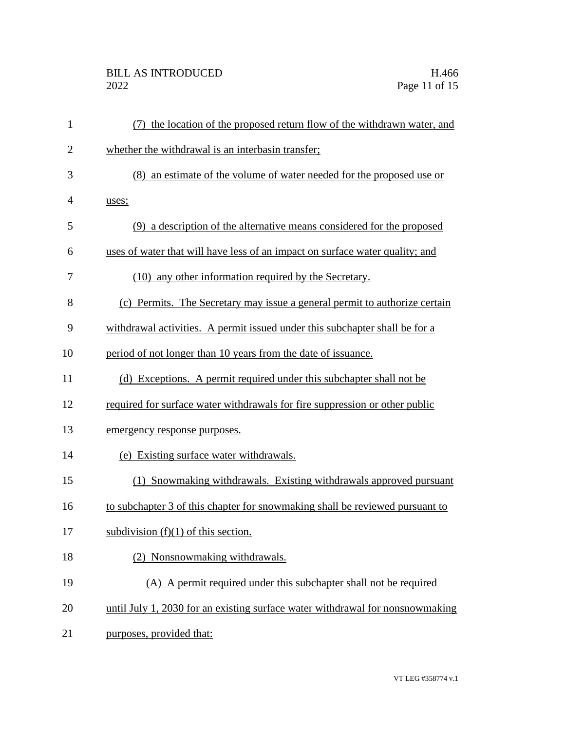# BILL AS INTRODUCED H.466<br>2022 Page 11 of 15

| $\mathbf{1}$   | the location of the proposed return flow of the withdrawn water, and<br>(7)   |
|----------------|-------------------------------------------------------------------------------|
| $\overline{2}$ | whether the withdrawal is an interbasin transfer;                             |
| 3              | (8) an estimate of the volume of water needed for the proposed use or         |
| 4              | uses;                                                                         |
| 5              | (9) a description of the alternative means considered for the proposed        |
| 6              | uses of water that will have less of an impact on surface water quality; and  |
| 7              | (10) any other information required by the Secretary.                         |
| 8              | (c) Permits. The Secretary may issue a general permit to authorize certain    |
| 9              | withdrawal activities. A permit issued under this subchapter shall be for a   |
| 10             | period of not longer than 10 years from the date of issuance.                 |
| 11             | (d) Exceptions. A permit required under this subchapter shall not be          |
| 12             | required for surface water withdrawals for fire suppression or other public   |
| 13             | emergency response purposes.                                                  |
| 14             | (e) Existing surface water withdrawals.                                       |
| 15             | (1) Snowmaking withdrawals. Existing withdrawals approved pursuant            |
| 16             | to subchapter 3 of this chapter for snowmaking shall be reviewed pursuant to  |
| 17             | subdivision $(f)(1)$ of this section.                                         |
| 18             | Nonsnowmaking withdrawals.                                                    |
| 19             | (A) A permit required under this subchapter shall not be required             |
| 20             | until July 1, 2030 for an existing surface water withdrawal for nonsnowmaking |
| 21             | purposes, provided that:                                                      |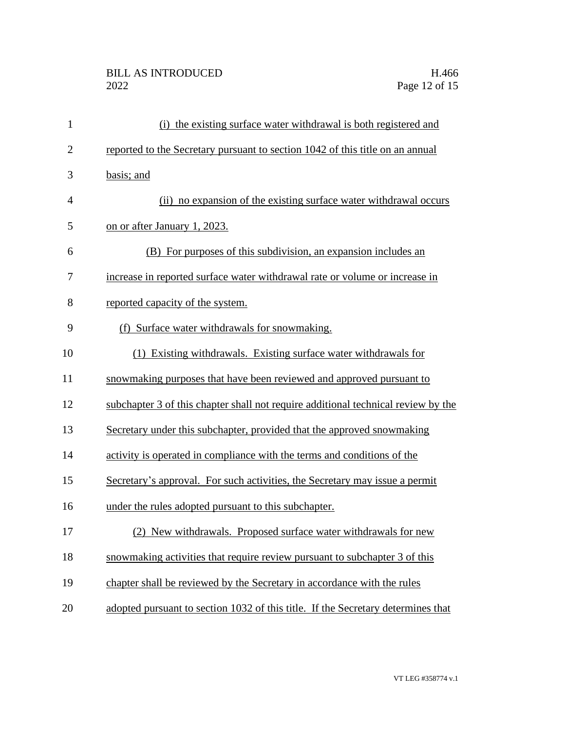| $\mathbf{1}$   | (i) the existing surface water withdrawal is both registered and                  |
|----------------|-----------------------------------------------------------------------------------|
| $\overline{2}$ | reported to the Secretary pursuant to section 1042 of this title on an annual     |
| 3              | basis; and                                                                        |
| $\overline{4}$ | (ii) no expansion of the existing surface water withdrawal occurs                 |
| 5              | on or after January 1, 2023.                                                      |
| 6              | (B) For purposes of this subdivision, an expansion includes an                    |
| 7              | increase in reported surface water withdrawal rate or volume or increase in       |
| 8              | reported capacity of the system.                                                  |
| 9              | (f) Surface water withdrawals for snowmaking.                                     |
| 10             | (1) Existing withdrawals. Existing surface water withdrawals for                  |
| 11             | snowmaking purposes that have been reviewed and approved pursuant to              |
| 12             | subchapter 3 of this chapter shall not require additional technical review by the |
| 13             | Secretary under this subchapter, provided that the approved snowmaking            |
| 14             | activity is operated in compliance with the terms and conditions of the           |
| 15             | Secretary's approval. For such activities, the Secretary may issue a permit       |
| 16             | under the rules adopted pursuant to this subchapter.                              |
| 17             | (2) New withdrawals. Proposed surface water withdrawals for new                   |
| 18             | snowmaking activities that require review pursuant to subchapter 3 of this        |
| 19             | chapter shall be reviewed by the Secretary in accordance with the rules           |
| 20             | adopted pursuant to section 1032 of this title. If the Secretary determines that  |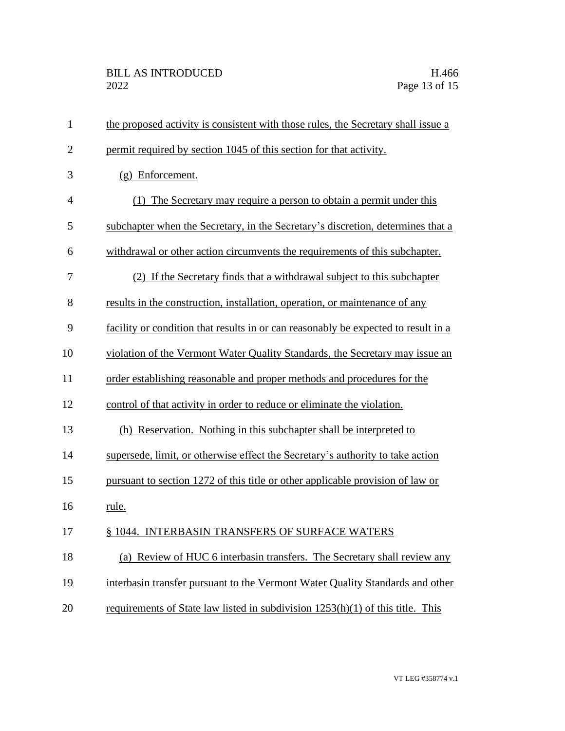| $\mathbf{1}$   | the proposed activity is consistent with those rules, the Secretary shall issue a  |
|----------------|------------------------------------------------------------------------------------|
| $\overline{2}$ | permit required by section 1045 of this section for that activity.                 |
| 3              | $(g)$ Enforcement.                                                                 |
| 4              | (1) The Secretary may require a person to obtain a permit under this               |
| 5              | subchapter when the Secretary, in the Secretary's discretion, determines that a    |
| 6              | withdrawal or other action circumvents the requirements of this subchapter.        |
| 7              | (2) If the Secretary finds that a withdrawal subject to this subchapter            |
| 8              | results in the construction, installation, operation, or maintenance of any        |
| 9              | facility or condition that results in or can reasonably be expected to result in a |
| 10             | violation of the Vermont Water Quality Standards, the Secretary may issue an       |
| 11             | order establishing reasonable and proper methods and procedures for the            |
| 12             | control of that activity in order to reduce or eliminate the violation.            |
| 13             | (h) Reservation. Nothing in this subchapter shall be interpreted to                |
| 14             | supersede, limit, or otherwise effect the Secretary's authority to take action     |
| 15             | pursuant to section 1272 of this title or other applicable provision of law or     |
| 16             | rule.                                                                              |
| 17             | § 1044. INTERBASIN TRANSFERS OF SURFACE WATERS                                     |
| 18             | (a) Review of HUC 6 interbasin transfers. The Secretary shall review any           |
| 19             | interbasin transfer pursuant to the Vermont Water Quality Standards and other      |
| 20             | requirements of State law listed in subdivision 1253(h)(1) of this title. This     |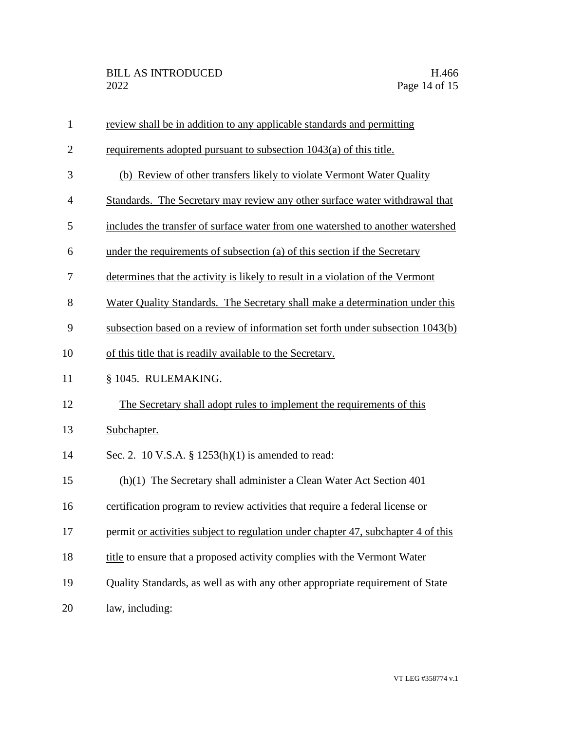| $\mathbf{1}$ | review shall be in addition to any applicable standards and permitting            |
|--------------|-----------------------------------------------------------------------------------|
| $\mathbf{2}$ | requirements adopted pursuant to subsection 1043(a) of this title.                |
| 3            | (b) Review of other transfers likely to violate Vermont Water Quality             |
| 4            | Standards. The Secretary may review any other surface water withdrawal that       |
| 5            | includes the transfer of surface water from one watershed to another watershed    |
| 6            | under the requirements of subsection (a) of this section if the Secretary         |
| 7            | determines that the activity is likely to result in a violation of the Vermont    |
| 8            | Water Quality Standards. The Secretary shall make a determination under this      |
| 9            | subsection based on a review of information set forth under subsection 1043(b)    |
| 10           | of this title that is readily available to the Secretary.                         |
| 11           | § 1045. RULEMAKING.                                                               |
| 12           | The Secretary shall adopt rules to implement the requirements of this             |
| 13           | Subchapter.                                                                       |
| 14           | Sec. 2. 10 V.S.A. § $1253(h)(1)$ is amended to read:                              |
| 15           | $(h)(1)$ The Secretary shall administer a Clean Water Act Section 401             |
| 16           | certification program to review activities that require a federal license or      |
| 17           | permit or activities subject to regulation under chapter 47, subchapter 4 of this |
| 18           | title to ensure that a proposed activity complies with the Vermont Water          |
| 19           | Quality Standards, as well as with any other appropriate requirement of State     |
| 20           | law, including:                                                                   |